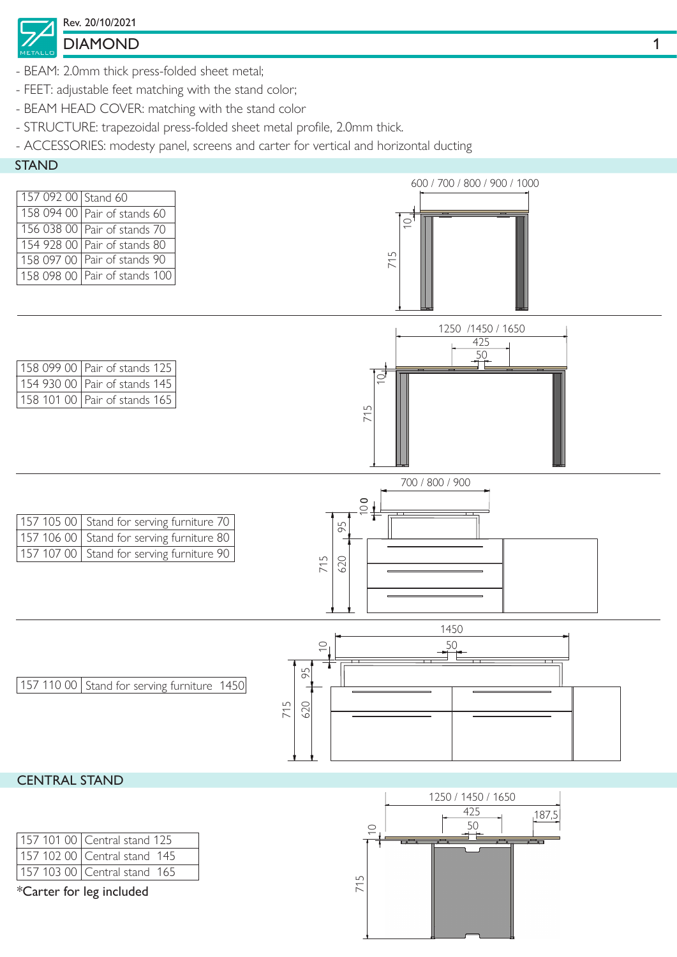## DIAMOND 1 Rev. 20/10/2021

- BEAM: 2.0mm thick press-folded sheet metal;
- FEET: adjustable feet matching with the stand color;
- BEAM HEAD COVER: matching with the stand color
- STRUCTURE: trapezoidal press-folded sheet metal profile, 2.0mm thick.
- ACCESSORIES: modesty panel, screens and carter for vertical and horizontal ducting





| 157 101 00   Central stand 125 |
|--------------------------------|
| 157 102 00 Central stand 145   |
| 157 103 00 Central stand 165   |

\*Carter for leg included